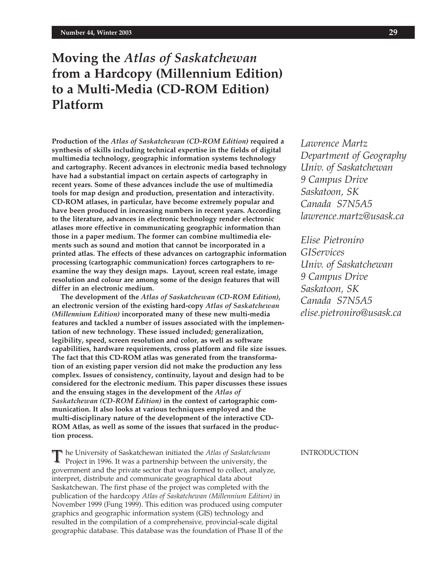# **Moving the** *Atlas of Saskatchewan* **from a Hardcopy (Millennium Edition) to a Multi-Media (CD-ROM Edition) Platform**

**Production of the** *Atlas of Saskatchewan (CD-ROM Edition)* **required a synthesis of skills including technical expertise in the fields of digital multimedia technology, geographic information systems technology and cartography. Recent advances in electronic media based technology have had a substantial impact on certain aspects of cartography in recent years. Some of these advances include the use of multimedia tools for map design and production, presentation and interactivity. CD-ROM atlases, in particular, have become extremely popular and have been produced in increasing numbers in recent years. According to the literature, advances in electronic technology render electronic atlases more effective in communicating geographic information than those in a paper medium. The former can combine multimedia elements such as sound and motion that cannot be incorporated in a printed atlas. The effects of these advances on cartographic information processing (cartographic communication) forces cartographers to reexamine the way they design maps. Layout, screen real estate, image resolution and colour are among some of the design features that will differ in an electronic medium.**

**The development of the** *Atlas of Saskatchewan (CD-ROM Edition)***, an electronic version of the existing hard-copy** *Atlas of Saskatchewan (Millennium Edition)* **incorporated many of these new multi-media features and tackled a number of issues associated with the implementation of new technology. These issued included; generalization, legibility, speed, screen resolution and color, as well as software capabilities, hardware requirements, cross platform and file size issues. The fact that this CD-ROM atlas was generated from the transformation of an existing paper version did not make the production any less complex. Issues of consistency, continuity, layout and design had to be considered for the electronic medium. This paper discusses these issues and the ensuing stages in the development of the** *Atlas of Saskatchewan (CD-ROM Edition)* **in the context of cartographic communication. It also looks at various techniques employed and the multi-disciplinary nature of the development of the interactive CD-ROM Atlas, as well as some of the issues that surfaced in the production process.**

he University of Saskatchewan initiated the *Atlas of Saskatchewan* Project in 1996. It was a partnership between the university, the government and the private sector that was formed to collect, analyze, interpret, distribute and communicate geographical data about Saskatchewan. The first phase of the project was completed with the publication of the hardcopy *Atlas of Saskatchewan (Millennium Edition)* in November 1999 (Fung 1999). This edition was produced using computer graphics and geographic information system (GIS) technology and resulted in the compilation of a comprehensive, provincial-scale digital geographic database. This database was the foundation of Phase II of the

*Lawrence Martz Department of Geography Univ. of Saskatchewan 9 Campus Drive Saskatoon, SK Canada S7N5A5 lawrence.martz@usask.ca*

*Elise Pietroniro GIServices Univ. of Saskatchewan 9 Campus Drive Saskatoon, SK Canada S7N5A5 elise.pietroniro@usask.ca*

INTRODUCTION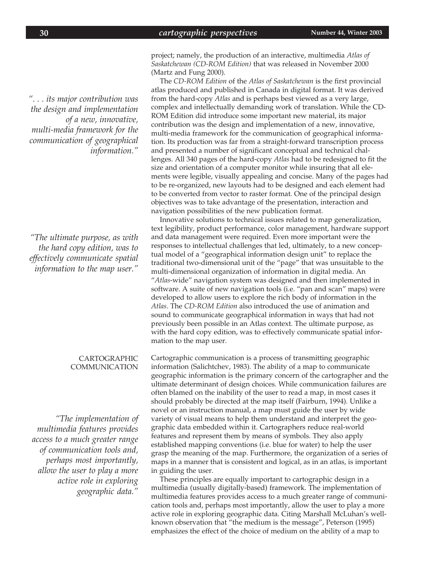*". . . its major contribution was the design and implementation of a new, innovative, multi-media framework for the communication of geographical information."*

*"The ultimate purpose, as with the hard copy edition, was to effectively communicate spatial information to the map user."*

#### CARTOGRAPHIC COMMUNICATION

*"The implementation of multimedia features provides access to a much greater range of communication tools and, perhaps most importantly, allow the user to play a more active role in exploring geographic data."*

project; namely, the production of an interactive, multimedia *Atlas of Saskatchewan (CD-ROM Edition)* that was released in November 2000 (Martz and Fung 2000).

The *CD-ROM Edition* of the *Atlas of Saskatchewan* is the first provincial atlas produced and published in Canada in digital format. It was derived from the hard-copy *Atlas* and is perhaps best viewed as a very large, complex and intellectually demanding work of translation. While the CD-ROM Edition did introduce some important new material, its major contribution was the design and implementation of a new, innovative, multi-media framework for the communication of geographical information. Its production was far from a straight-forward transcription process and presented a number of significant conceptual and technical challenges. All 340 pages of the hard-copy *Atlas* had to be redesigned to fit the size and orientation of a computer monitor while insuring that all elements were legible, visually appealing and concise. Many of the pages had to be re-organized, new layouts had to be designed and each element had to be converted from vector to raster format. One of the principal design objectives was to take advantage of the presentation, interaction and navigation possibilities of the new publication format.

Innovative solutions to technical issues related to map generalization, text legibility, product performance, color management, hardware support and data management were required. Even more important were the responses to intellectual challenges that led, ultimately, to a new conceptual model of a "geographical information design unit" to replace the traditional two-dimensional unit of the "page" that was unsuitable to the multi-dimensional organization of information in digital media. An "*Atlas*-wide" navigation system was designed and then implemented in software. A suite of new navigation tools (i.e. "pan and scan" maps) were developed to allow users to explore the rich body of information in the *Atlas*. The *CD-ROM Edition* also introduced the use of animation and sound to communicate geographical information in ways that had not previously been possible in an Atlas context. The ultimate purpose, as with the hard copy edition, was to effectively communicate spatial information to the map user.

Cartographic communication is a process of transmitting geographic information (Salichtchev, 1983). The ability of a map to communicate geographic information is the primary concern of the cartographer and the ultimate determinant of design choices. While communication failures are often blamed on the inability of the user to read a map, in most cases it should probably be directed at the map itself (Fairburn, 1994). Unlike a novel or an instruction manual, a map must guide the user by wide variety of visual means to help them understand and interpret the geographic data embedded within it. Cartographers reduce real-world features and represent them by means of symbols. They also apply established mapping conventions (i.e. blue for water) to help the user grasp the meaning of the map. Furthermore, the organization of a series of maps in a manner that is consistent and logical, as in an atlas, is important in guiding the user.

These principles are equally important to cartographic design in a multimedia (usually digitally-based) framework. The implementation of multimedia features provides access to a much greater range of communication tools and, perhaps most importantly, allow the user to play a more active role in exploring geographic data. Citing Marshall McLuhan's wellknown observation that "the medium is the message", Peterson (1995) emphasizes the effect of the choice of medium on the ability of a map to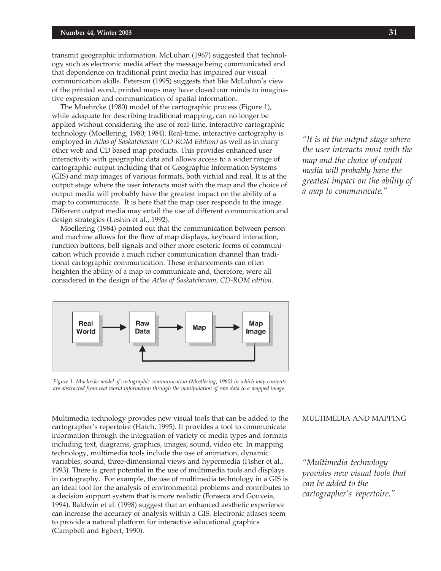transmit geographic information. McLuhan (1967) suggested that technology such as electronic media affect the message being communicated and that dependence on traditional print media has impaired our visual communication skills. Peterson (1995) suggests that like McLuhan's view of the printed word, printed maps may have closed our minds to imaginative expression and communication of spatial information.

The Muehrcke (1980) model of the cartographic process (Figure 1), while adequate for describing traditional mapping, can no longer be applied without considering the use of real-time, interactive cartographic technology (Moellering, 1980; 1984). Real-time, interactive cartography is employed in *Atlas of Saskatchewan (CD-ROM Edition)* as well as in many other web and CD based map products. This provides enhanced user interactivity with geographic data and allows access to a wider range of cartographic output including that of Geographic Information Systems (GIS) and map images of various formats, both virtual and real. It is at the output stage where the user interacts most with the map and the choice of output media will probably have the greatest impact on the ability of a map to communicate. It is here that the map user responds to the image. Different output media may entail the use of different communication and design strategies (Leshin et al., 1992).

Moellering (1984) pointed out that the communication between person and machine allows for the flow of map displays, keyboard interaction, function buttons, bell signals and other more esoteric forms of communication which provide a much richer communication channel than traditional cartographic communication. These enhancements can often heighten the ability of a map to communicate and, therefore, were all considered in the design of the *Atlas of Saskatchewan, CD-ROM edition*.



*Figure 1. Muehrcke model of cartographic communication (Moellering, 1980) in which map contents are abstracted from real world information through the manipulation of raw data to a mapped image.*

Multimedia technology provides new visual tools that can be added to the cartographer's repertoire (Hatch, 1995). It provides a tool to communicate information through the integration of variety of media types and formats including text, diagrams, graphics, images, sound, video etc. In mapping technology, multimedia tools include the use of animation, dynamic variables, sound, three-dimensional views and hypermedia (Fisher et al., 1993). There is great potential in the use of multimedia tools and displays in cartography. For example, the use of multimedia technology in a GIS is an ideal tool for the analysis of environmental problems and contributes to a decision support system that is more realistic (Fonseca and Gouveia, 1994). Baldwin et al. (1998) suggest that an enhanced aesthetic experience can increase the accuracy of analysis within a GIS. Electronic atlases seem to provide a natural platform for interactive educational graphics (Campbell and Egbert, 1990).

## MULTIMEDIA AND MAPPING

*"Multimedia technology provides new visual tools that can be added to the cartographer's repertoire."*

*"It is at the output stage where the user interacts most with the map and the choice of output media will probably have the greatest impact on the ability of a map to communicate."*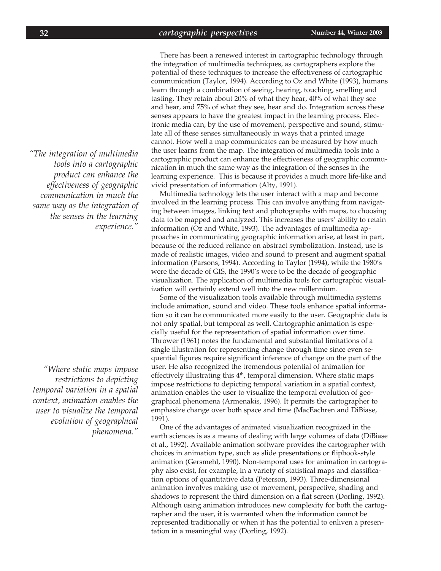*"The integration of multimedia tools into a cartographic product can enhance the effectiveness of geographic communication in much the same way as the integration of the senses in the learning experience."*

*"Where static maps impose restrictions to depicting temporal variation in a spatial context, animation enables the user to visualize the temporal evolution of geographical phenomena."*

There has been a renewed interest in cartographic technology through the integration of multimedia techniques, as cartographers explore the potential of these techniques to increase the effectiveness of cartographic communication (Taylor, 1994). According to Oz and White (1993), humans learn through a combination of seeing, hearing, touching, smelling and tasting. They retain about 20% of what they hear, 40% of what they see and hear, and 75% of what they see, hear and do. Integration across these senses appears to have the greatest impact in the learning process. Electronic media can, by the use of movement, perspective and sound, stimulate all of these senses simultaneously in ways that a printed image cannot. How well a map communicates can be measured by how much the user learns from the map. The integration of multimedia tools into a cartographic product can enhance the effectiveness of geographic communication in much the same way as the integration of the senses in the learning experience. This is because it provides a much more life-like and vivid presentation of information (Alty, 1991).

Multimedia technology lets the user interact with a map and become involved in the learning process. This can involve anything from navigating between images, linking text and photographs with maps, to choosing data to be mapped and analyzed. This increases the users' ability to retain information (Oz and White, 1993). The advantages of multimedia approaches in communicating geographic information arise, at least in part, because of the reduced reliance on abstract symbolization. Instead, use is made of realistic images, video and sound to present and augment spatial information (Parsons, 1994). According to Taylor (1994), while the 1980's were the decade of GIS, the 1990's were to be the decade of geographic visualization. The application of multimedia tools for cartographic visualization will certainly extend well into the new millennium.

Some of the visualization tools available through multimedia systems include animation, sound and video. These tools enhance spatial information so it can be communicated more easily to the user. Geographic data is not only spatial, but temporal as well. Cartographic animation is especially useful for the representation of spatial information over time. Thrower (1961) notes the fundamental and substantial limitations of a single illustration for representing change through time since even sequential figures require significant inference of change on the part of the user. He also recognized the tremendous potential of animation for effectively illustrating this  $4<sup>th</sup>$ , temporal dimension. Where static maps impose restrictions to depicting temporal variation in a spatial context, animation enables the user to visualize the temporal evolution of geographical phenomena (Armenakis, 1996). It permits the cartographer to emphasize change over both space and time (MacEachren and DiBiase, 1991).

One of the advantages of animated visualization recognized in the earth sciences is as a means of dealing with large volumes of data (DiBiase et al., 1992). Available animation software provides the cartographer with choices in animation type, such as slide presentations or flipbook-style animation (Gersmehl, 1990). Non-temporal uses for animation in cartography also exist, for example, in a variety of statistical maps and classification options of quantitative data (Peterson, 1993). Three-dimensional animation involves making use of movement, perspective, shading and shadows to represent the third dimension on a flat screen (Dorling, 1992). Although using animation introduces new complexity for both the cartographer and the user, it is warranted when the information cannot be represented traditionally or when it has the potential to enliven a presentation in a meaningful way (Dorling, 1992).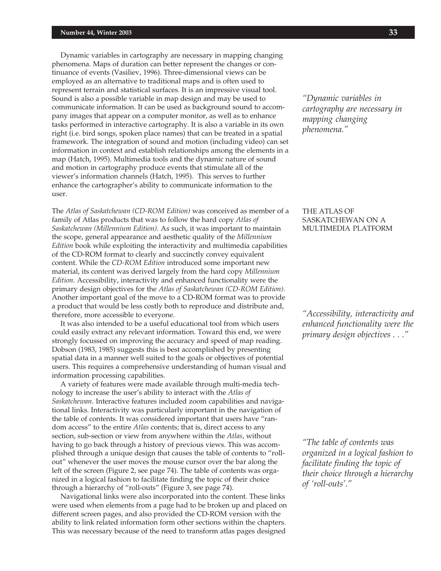#### **Number 44, Winter 2003** *cartographic perspectives* **33**

Dynamic variables in cartography are necessary in mapping changing phenomena. Maps of duration can better represent the changes or continuance of events (Vasiliev, 1996). Three-dimensional views can be employed as an alternative to traditional maps and is often used to represent terrain and statistical surfaces. It is an impressive visual tool. Sound is also a possible variable in map design and may be used to communicate information. It can be used as background sound to accompany images that appear on a computer monitor, as well as to enhance tasks performed in interactive cartography. It is also a variable in its own right (i.e. bird songs, spoken place names) that can be treated in a spatial framework. The integration of sound and motion (including video) can set information in context and establish relationships among the elements in a map (Hatch, 1995). Multimedia tools and the dynamic nature of sound and motion in cartography produce events that stimulate all of the viewer's information channels (Hatch, 1995). This serves to further enhance the cartographer's ability to communicate information to the user.

The *Atlas of Saskatchewan (CD-ROM Edition)* was conceived as member of a family of Atlas products that was to follow the hard copy *Atlas of Saskatchewan (Millennium Edition)*. As such, it was important to maintain the scope, general appearance and aesthetic quality of the *Millennium Edition* book while exploiting the interactivity and multimedia capabilities of the CD-ROM format to clearly and succinctly convey equivalent content. While the *CD-ROM Edition* introduced some important new material, its content was derived largely from the hard copy *Millennium Edition*. Accessibility, interactivity and enhanced functionality were the primary design objectives for the *Atlas of Saskatchewan (CD-ROM Edition)*. Another important goal of the move to a CD-ROM format was to provide a product that would be less costly both to reproduce and distribute and, therefore, more accessible to everyone.

It was also intended to be a useful educational tool from which users could easily extract any relevant information. Toward this end, we were strongly focussed on improving the accuracy and speed of map reading. Dobson (1983, 1985) suggests this is best accomplished by presenting spatial data in a manner well suited to the goals or objectives of potential users. This requires a comprehensive understanding of human visual and information processing capabilities.

A variety of features were made available through multi-media technology to increase the user's ability to interact with the *Atlas of Saskatchewan*. Interactive features included zoom capabilities and navigational links. Interactivity was particularly important in the navigation of the table of contents. It was considered important that users have "random access" to the entire *Atlas* contents; that is, direct access to any section, sub-section or view from anywhere within the *Atlas*, without having to go back through a history of previous views. This was accomplished through a unique design that causes the table of contents to "rollout" whenever the user moves the mouse cursor over the bar along the left of the screen (Figure 2, see page 74). The table of contents was organized in a logical fashion to facilitate finding the topic of their choice through a hierarchy of "roll-outs" (Figure 3, see page 74).

Navigational links were also incorporated into the content. These links were used when elements from a page had to be broken up and placed on different screen pages, and also provided the CD-ROM version with the ability to link related information form other sections within the chapters. This was necessary because of the need to transform atlas pages designed

*"Dynamic variables in cartography are necessary in mapping changing phenomena."*

## THE ATLAS OF SASKATCHEWAN ON A MULTIMEDIA PLATFORM

*"Accessibility, interactivity and enhanced functionality were the primary design objectives . . ."*

*"The table of contents was organized in a logical fashion to facilitate finding the topic of their choice through a hierarchy of 'roll-outs'."*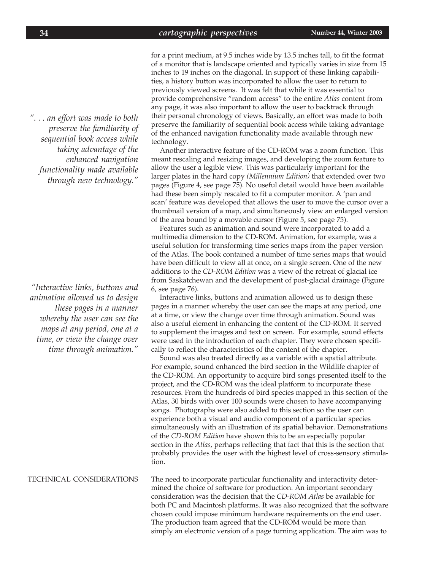for a print medium, at 9.5 inches wide by 13.5 inches tall, to fit the format of a monitor that is landscape oriented and typically varies in size from 15 inches to 19 inches on the diagonal. In support of these linking capabilities, a history button was incorporated to allow the user to return to previously viewed screens. It was felt that while it was essential to provide comprehensive "random access" to the entire *Atlas* content from any page, it was also important to allow the user to backtrack through their personal chronology of views. Basically, an effort was made to both preserve the familiarity of sequential book access while taking advantage of the enhanced navigation functionality made available through new technology.

Another interactive feature of the CD-ROM was a zoom function. This meant rescaling and resizing images, and developing the zoom feature to allow the user a legible view. This was particularly important for the larger plates in the hard copy *(Millennium Edition)* that extended over two pages (Figure 4, see page 75). No useful detail would have been available had these been simply rescaled to fit a computer monitor. A 'pan and scan' feature was developed that allows the user to move the cursor over a thumbnail version of a map, and simultaneously view an enlarged version of the area bound by a movable cursor (Figure 5, see page 75).

Features such as animation and sound were incorporated to add a multimedia dimension to the CD-ROM. Animation, for example, was a useful solution for transforming time series maps from the paper version of the Atlas. The book contained a number of time series maps that would have been difficult to view all at once, on a single screen. One of the new additions to the *CD-ROM Edition* was a view of the retreat of glacial ice from Saskatchewan and the development of post-glacial drainage (Figure 6, see page 76).

Interactive links, buttons and animation allowed us to design these pages in a manner whereby the user can see the maps at any period, one at a time, or view the change over time through animation. Sound was also a useful element in enhancing the content of the CD-ROM. It served to supplement the images and text on screen. For example, sound effects were used in the introduction of each chapter. They were chosen specifically to reflect the characteristics of the content of the chapter.

Sound was also treated directly as a variable with a spatial attribute. For example, sound enhanced the bird section in the Wildlife chapter of the CD-ROM. An opportunity to acquire bird songs presented itself to the project, and the CD-ROM was the ideal platform to incorporate these resources. From the hundreds of bird species mapped in this section of the Atlas, 30 birds with over 100 sounds were chosen to have accompanying songs. Photographs were also added to this section so the user can experience both a visual and audio component of a particular species simultaneously with an illustration of its spatial behavior. Demonstrations of the *CD-ROM Edition* have shown this to be an especially popular section in the *Atlas*, perhaps reflecting that fact that this is the section that probably provides the user with the highest level of cross-sensory stimulation.

The need to incorporate particular functionality and interactivity determined the choice of software for production. An important secondary consideration was the decision that the *CD-ROM Atlas* be available for both PC and Macintosh platforms. It was also recognized that the software chosen could impose minimum hardware requirements on the end user. The production team agreed that the CD-ROM would be more than simply an electronic version of a page turning application. The aim was to TECHNICAL CONSIDERATIONS

*". . . an effort was made to both preserve the familiarity of sequential book access while taking advantage of the enhanced navigation functionality made available through new technology."*

*"Interactive links, buttons and animation allowed us to design these pages in a manner whereby the user can see the maps at any period, one at a time, or view the change over time through animation."*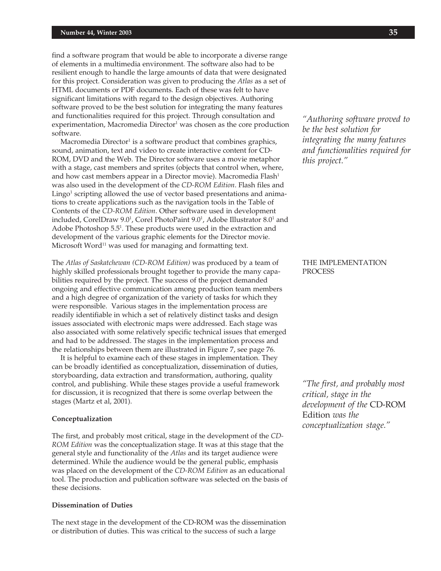find a software program that would be able to incorporate a diverse range of elements in a multimedia environment. The software also had to be resilient enough to handle the large amounts of data that were designated for this project. Consideration was given to producing the *Atlas* as a set of HTML documents or PDF documents. Each of these was felt to have significant limitations with regard to the design objectives. Authoring software proved to be the best solution for integrating the many features and functionalities required for this project. Through consultation and experimentation*,* Macromedia Director<sup>1</sup> was chosen as the core production software.

Macromedia Director $^{\scriptscriptstyle 1}$  is a software product that combines graphics, sound, animation, text and video to create interactive content for CD-ROM, DVD and the Web. The Director software uses a movie metaphor with a stage, cast members and sprites (objects that control when, where, and how cast members appear in a Director movie). Macromedia Flash<sup>1</sup> was also used in the development of the *CD-ROM Edition*. Flash files and Lingo<sup>1</sup> scripting allowed the use of vector based presentations and animations to create applications such as the navigation tools in the Table of Contents of the *CD-ROM Edition*. Other software used in development included, CorelDraw 9.0<sup>1</sup>, Corel PhotoPaint 9.0<sup>1</sup>, Adobe Illustrator 8.0<sup>1</sup> and Adobe Photoshop 5.5<sup>1</sup>. These products were used in the extraction and development of the various graphic elements for the Director movie. Microsoft Word<sup>11</sup> was used for managing and formatting text.

The *Atlas of Saskatchewan (CD-ROM Edition)* was produced by a team of highly skilled professionals brought together to provide the many capabilities required by the project. The success of the project demanded ongoing and effective communication among production team members and a high degree of organization of the variety of tasks for which they were responsible. Various stages in the implementation process are readily identifiable in which a set of relatively distinct tasks and design issues associated with electronic maps were addressed. Each stage was also associated with some relatively specific technical issues that emerged and had to be addressed. The stages in the implementation process and the relationships between them are illustrated in Figure 7, see page 76.

It is helpful to examine each of these stages in implementation. They can be broadly identified as conceptualization, dissemination of duties, storyboarding, data extraction and transformation, authoring, quality control, and publishing. While these stages provide a useful framework for discussion, it is recognized that there is some overlap between the stages (Martz et al, 2001).

#### **Conceptualization**

The first, and probably most critical, stage in the development of the *CD-ROM Edition* was the conceptualization stage. It was at this stage that the general style and functionality of the *Atlas* and its target audience were determined. While the audience would be the general public, emphasis was placed on the development of the *CD-ROM Edition* as an educational tool. The production and publication software was selected on the basis of these decisions.

#### **Dissemination of Duties**

The next stage in the development of the CD-ROM was the dissemination or distribution of duties. This was critical to the success of such a large

*"Authoring software proved to be the best solution for integrating the many features and functionalities required for this project."*

## THE IMPLEMENTATION **PROCESS**

*"The first, and probably most critical, stage in the development of the* CD-ROM Edition *was the conceptualization stage."*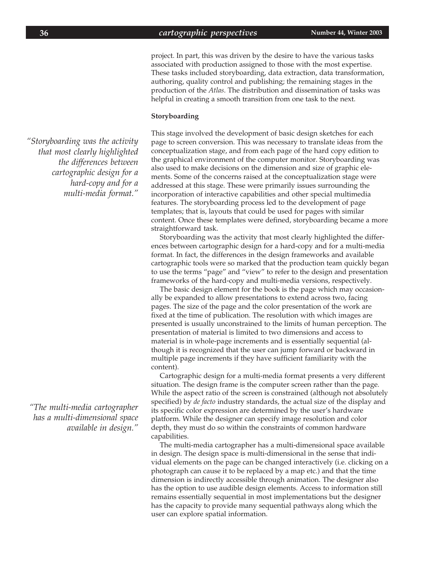project. In part, this was driven by the desire to have the various tasks associated with production assigned to those with the most expertise. These tasks included storyboarding, data extraction, data transformation, authoring, quality control and publishing; the remaining stages in the production of the *Atlas*. The distribution and dissemination of tasks was helpful in creating a smooth transition from one task to the next.

#### **Storyboarding**

This stage involved the development of basic design sketches for each page to screen conversion. This was necessary to translate ideas from the conceptualization stage, and from each page of the hard copy edition to the graphical environment of the computer monitor. Storyboarding was also used to make decisions on the dimension and size of graphic elements. Some of the concerns raised at the conceptualization stage were addressed at this stage. These were primarily issues surrounding the incorporation of interactive capabilities and other special multimedia features. The storyboarding process led to the development of page templates; that is, layouts that could be used for pages with similar content. Once these templates were defined, storyboarding became a more straightforward task.

Storyboarding was the activity that most clearly highlighted the differences between cartographic design for a hard-copy and for a multi-media format. In fact, the differences in the design frameworks and available cartographic tools were so marked that the production team quickly began to use the terms "page" and "view" to refer to the design and presentation frameworks of the hard-copy and multi-media versions, respectively.

The basic design element for the book is the page which may occasionally be expanded to allow presentations to extend across two, facing pages. The size of the page and the color presentation of the work are fixed at the time of publication. The resolution with which images are presented is usually unconstrained to the limits of human perception. The presentation of material is limited to two dimensions and access to material is in whole-page increments and is essentially sequential (although it is recognized that the user can jump forward or backward in multiple page increments if they have sufficient familiarity with the content).

Cartographic design for a multi-media format presents a very different situation. The design frame is the computer screen rather than the page. While the aspect ratio of the screen is constrained (although not absolutely specified) by *de facto* industry standards, the actual size of the display and its specific color expression are determined by the user's hardware platform. While the designer can specify image resolution and color depth, they must do so within the constraints of common hardware capabilities.

The multi-media cartographer has a multi-dimensional space available in design. The design space is multi-dimensional in the sense that individual elements on the page can be changed interactively (i.e. clicking on a photograph can cause it to be replaced by a map etc.) and that the time dimension is indirectly accessible through animation. The designer also has the option to use audible design elements. Access to information still remains essentially sequential in most implementations but the designer has the capacity to provide many sequential pathways along which the user can explore spatial information.

*"Storyboarding was the activity that most clearly highlighted the differences between cartographic design for a hard-copy and for a multi-media format."*

*"The multi-media cartographer has a multi-dimensional space available in design."*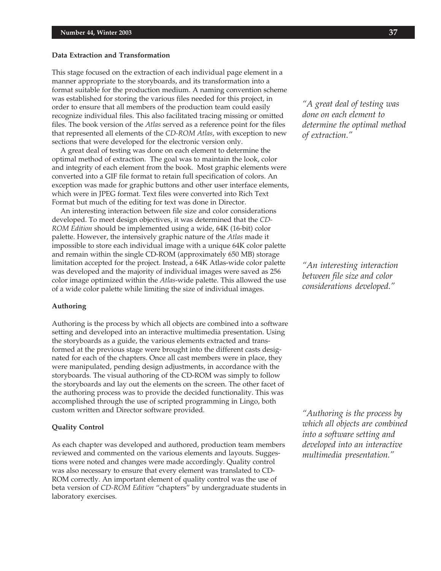#### **Data Extraction and Transformation**

This stage focused on the extraction of each individual page element in a manner appropriate to the storyboards, and its transformation into a format suitable for the production medium. A naming convention scheme was established for storing the various files needed for this project, in order to ensure that all members of the production team could easily recognize individual files. This also facilitated tracing missing or omitted files. The book version of the *Atlas* served as a reference point for the files that represented all elements of the *CD-ROM Atlas*, with exception to new sections that were developed for the electronic version only.

A great deal of testing was done on each element to determine the optimal method of extraction. The goal was to maintain the look, color and integrity of each element from the book. Most graphic elements were converted into a GIF file format to retain full specification of colors. An exception was made for graphic buttons and other user interface elements, which were in JPEG format. Text files were converted into Rich Text Format but much of the editing for text was done in Director.

An interesting interaction between file size and color considerations developed. To meet design objectives, it was determined that the *CD-ROM Edition* should be implemented using a wide, 64K (16-bit) color palette. However, the intensively graphic nature of the *Atlas* made it impossible to store each individual image with a unique 64K color palette and remain within the single CD-ROM (approximately 650 MB) storage limitation accepted for the project. Instead, a 64K Atlas-wide color palette was developed and the majority of individual images were saved as 256 color image optimized within the *Atlas*-wide palette. This allowed the use of a wide color palette while limiting the size of individual images.

#### **Authoring**

Authoring is the process by which all objects are combined into a software setting and developed into an interactive multimedia presentation. Using the storyboards as a guide, the various elements extracted and transformed at the previous stage were brought into the different casts designated for each of the chapters. Once all cast members were in place, they were manipulated, pending design adjustments, in accordance with the storyboards. The visual authoring of the CD-ROM was simply to follow the storyboards and lay out the elements on the screen. The other facet of the authoring process was to provide the decided functionality. This was accomplished through the use of scripted programming in Lingo, both custom written and Director software provided.

#### **Quality Control**

As each chapter was developed and authored, production team members reviewed and commented on the various elements and layouts. Suggestions were noted and changes were made accordingly. Quality control was also necessary to ensure that every element was translated to CD-ROM correctly. An important element of quality control was the use of beta version of *CD-ROM Edition* "chapters" by undergraduate students in laboratory exercises.

*"A great deal of testing was done on each element to determine the optimal method of extraction."*

*"An interesting interaction between file size and color considerations developed."*

*"Authoring is the process by which all objects are combined into a software setting and developed into an interactive multimedia presentation."*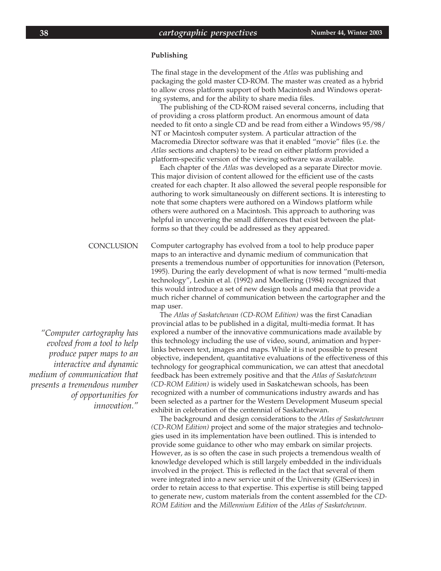#### **Publishing**

The final stage in the development of the *Atlas* was publishing and packaging the gold master CD-ROM. The master was created as a hybrid to allow cross platform support of both Macintosh and Windows operating systems, and for the ability to share media files.

The publishing of the CD-ROM raised several concerns, including that of providing a cross platform product. An enormous amount of data needed to fit onto a single CD and be read from either a Windows 95/98/ NT or Macintosh computer system. A particular attraction of the Macromedia Director software was that it enabled "movie" files (i.e. the *Atlas* sections and chapters) to be read on either platform provided a platform-specific version of the viewing software was available.

Each chapter of the *Atlas* was developed as a separate Director movie. This major division of content allowed for the efficient use of the casts created for each chapter. It also allowed the several people responsible for authoring to work simultaneously on different sections. It is interesting to note that some chapters were authored on a Windows platform while others were authored on a Macintosh. This approach to authoring was helpful in uncovering the small differences that exist between the platforms so that they could be addressed as they appeared.

#### Computer cartography has evolved from a tool to help produce paper maps to an interactive and dynamic medium of communication that presents a tremendous number of opportunities for innovation (Peterson, 1995). During the early development of what is now termed "multi-media technology", Leshin et al. (1992) and Moellering (1984) recognized that this would introduce a set of new design tools and media that provide a much richer channel of communication between the cartographer and the map user. **CONCLUSION**

The *Atlas of Saskatchewan (CD-ROM Edition)* was the first Canadian provincial atlas to be published in a digital, multi-media format. It has explored a number of the innovative communications made available by this technology including the use of video, sound, animation and hyperlinks between text, images and maps. While it is not possible to present objective, independent, quantitative evaluations of the effectiveness of this technology for geographical communication, we can attest that anecdotal feedback has been extremely positive and that the *Atlas of Saskatchewan (CD-ROM Edition)* is widely used in Saskatchewan schools, has been recognized with a number of communications industry awards and has been selected as a partner for the Western Development Museum special exhibit in celebration of the centennial of Saskatchewan.

The background and design considerations to the *Atlas of Saskatchewan (CD-ROM Edition)* project and some of the major strategies and technologies used in its implementation have been outlined. This is intended to provide some guidance to other who may embark on similar projects. However, as is so often the case in such projects a tremendous wealth of knowledge developed which is still largely embedded in the individuals involved in the project. This is reflected in the fact that several of them were integrated into a new service unit of the University (GIServices) in order to retain access to that expertise. This expertise is still being tapped to generate new, custom materials from the content assembled for the *CD-ROM Edition* and the *Millennium Edition* of the *Atlas of Saskatchewan*.

*"Computer cartography has evolved from a tool to help produce paper maps to an interactive and dynamic medium of communication that presents a tremendous number of opportunities for innovation."*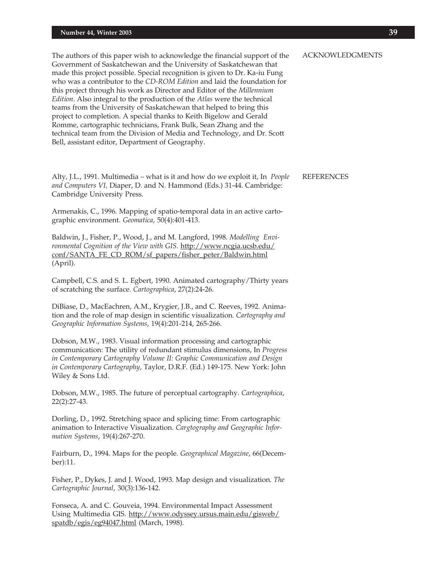The authors of this paper wish to acknowledge the financial support of the Government of Saskatchewan and the University of Saskatchewan that made this project possible. Special recognition is given to Dr. Ka-iu Fung who was a contributor to the *CD-ROM Edition* and laid the foundation for this project through his work as Director and Editor of the *Millennium Edition*. Also integral to the production of the *Atlas* were the technical teams from the University of Saskatchewan that helped to bring this project to completion. A special thanks to Keith Bigelow and Gerald Romme, cartographic technicians, Frank Bulk, Sean Zhang and the technical team from the Division of Media and Technology, and Dr. Scott Bell, assistant editor, Department of Geography.

Alty, J.L., 1991. Multimedia – what is it and how do we exploit it, In *People and Computers VI,* Diaper, D. and N. Hammond (Eds.) 31-44. Cambridge: Cambridge University Press.

Armenakis, C., 1996. Mapping of spatio-temporal data in an active cartographic environment. *Geomatica*, 50(4):401-413.

Baldwin, J., Fisher, P., Wood, J., and M. Langford, 1998. *Modelling Environmental Cognition of the View with GIS.* http://www.ncgia.ucsb.edu/ conf/SANTA\_FE\_CD\_ROM/sf\_papers/fisher\_peter/Baldwin.html (April).

Campbell, C.S. and S. L. Egbert, 1990. Animated cartography/Thirty years of scratching the surface. *Cartographica*, 27(2):24-26.

DiBiase, D., MacEachren, A.M., Krygier, J.B., and C. Reeves, 1992. Animation and the role of map design in scientific visualization. *Cartography and Geographic Information Systems*, 19(4):201-214, 265-266.

Dobson, M.W., 1983. Visual information processing and cartographic communication: The utility of redundant stimulus dimensions, In *Progress in Contemporary Cartography Volume II: Graphic Communication and Design in Contemporary Cartography*, Taylor, D.R.F. (Ed.) 149-175. New York: John Wiley & Sons Ltd.

Dobson, M.W., 1985. The future of perceptual cartography. *Cartographica*, 22(2):27-43.

Dorling, D., 1992. Stretching space and splicing time: From cartographic animation to Interactive Visualization. *Cargtography and Geographic Information Systems*, 19(4):267-270.

Fairburn, D., 1994. Maps for the people. *Geographical Magazine*, 66(December):11.

Fisher, P., Dykes, J. and J. Wood, 1993. Map design and visualization. *The Cartographic Journal*, 30(3):136-142.

Fonseca, A. and C. Gouveia, 1994. Environmental Impact Assessment Using Multimedia GIS. http://www.odyssey.ursus.main.edu/gisweb/ spatdb/egis/eg94047.html (March, 1998).

ACKNOWLEDGMENTS

## REFERENCES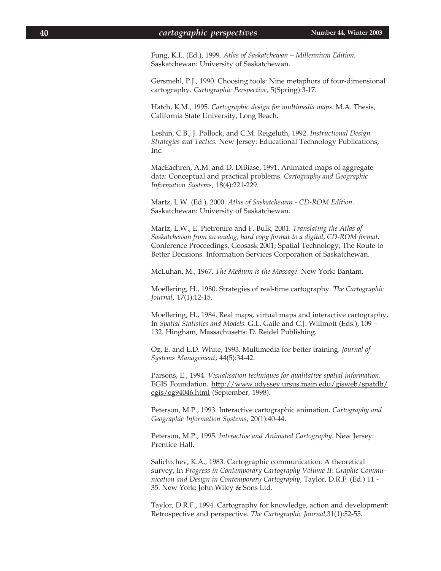Fung, K.I.. (Ed.), 1999. *Atlas of Saskatchewan – Millennium Edition.* Saskatchewan: University of Saskatchewan.

Gersmehl, P.J., 1990. Choosing tools: Nine metaphors of four-dimensional cartography. *Cartographic Perspective*, 5(Spring):3-17.

Hatch, K.M., 1995. *Cartographic design for multimedia maps*. M.A. Thesis, California State University, Long Beach.

Leshin, C.B., J. Pollock, and C.M. Reigeluth, 1992. *Instructional Design Strategies and Tactics.* New Jersey: Educational Technology Publications, Inc.

MacEachren, A.M. and D. DiBiase, 1991. Animated maps of aggregate data: Conceptual and practical problems. *Cartography and Geographic Information Systems*, 18(4):221-229.

Martz, L.W. (Ed.), 2000. *Atlas of Saskatchewan - CD-ROM Edition*. Saskatchewan: University of Saskatchewan.

Martz, L.W., E. Pietroniro and F. Bulk, 2001. *Translating the Atlas of Saskatchewan from an analog, hard copy format to a digital, CD-ROM format.* Conference Proceedings, Geosask 2001; Spatial Technology, The Route to Better Decisions*.* Information Services Corporation of Saskatchewan.

McLuhan, M., 1967. *The Medium is the Massage.* New York: Bantam.

Moellering, H., 1980. Strategies of real-time cartography. *The Cartographic Journal*, 17(1):12-15.

Moellering, H., 1984. Real maps, virtual maps and interactive cartography, In *Spatial Statistics and Models.* G.L. Gaile and C.J. Willmott (Eds.), 109 – 132. Hingham, Massachusetts: D. Reidel Publishing.

Oz, E. and L.D. White, 1993. Multimedia for better training. *Journal of Systems Management*, 44(5):34-42.

Parsons, E., 1994. *Visualisation techniques for qualitative spatial information*. EGIS Foundation. http://www.odyssey.ursus.main.edu/gisweb/spatdb/ egis/eg94046.html (September, 1998).

Peterson, M.P., 1993. Interactive cartographic animation. *Cartography and Geographic Information Systems*, 20(1):40-44.

Peterson, M.P., 1995. *Interactive and Animated Cartography*. New Jersey: Prentice Hall.

Salichtchev, K.A., 1983. Cartographic communication: A theoretical survey, In *Progress in Contemporary Cartography Volume II: Graphic Communication and Design in Contemporary Cartography*, Taylor, D.R.F. (Ed.) 11 - 35. New York: John Wiley & Sons Ltd.

Taylor, D.R.F., 1994. Cartography for knowledge, action and development: Retrospective and perspective. *The Cartographic Journal,*31(1):52-55.